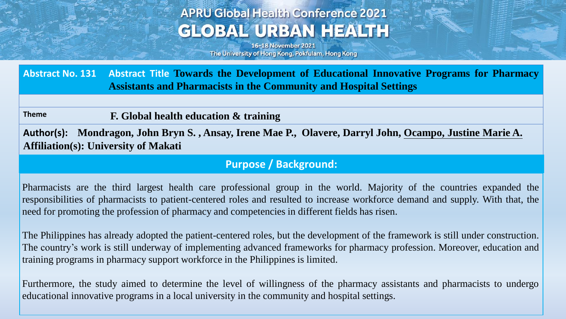## **APRU Global Health Conference 2021 GLOBAL URBAN HEALTH**

16-18 November 2021 The University of Hong Kong, Pokfulam, Hong Kong

**Abstract No. 131 Abstract Title Towards the Development of Educational Innovative Programs for Pharmacy Assistants and Pharmacists in the Community and Hospital Settings**

**Theme F. Global health education & training**

**Author(s): Mondragon, John Bryn S. , Ansay, Irene Mae P., Olavere, Darryl John, Ocampo, Justine Marie A. Affiliation(s): University of Makati**

### **Purpose / Background:**

Pharmacists are the third largest health care professional group in the world. Majority of the countries expanded the responsibilities of pharmacists to patient-centered roles and resulted to increase workforce demand and supply. With that, the need for promoting the profession of pharmacy and competencies in different fields has risen.

The Philippines has already adopted the patient-centered roles, but the development of the framework is still under construction. The country's work is still underway of implementing advanced frameworks for pharmacy profession. Moreover, education and training programs in pharmacy support workforce in the Philippines is limited.

Furthermore, the study aimed to determine the level of willingness of the pharmacy assistants and pharmacists to undergo educational innovative programs in a local university in the community and hospital settings.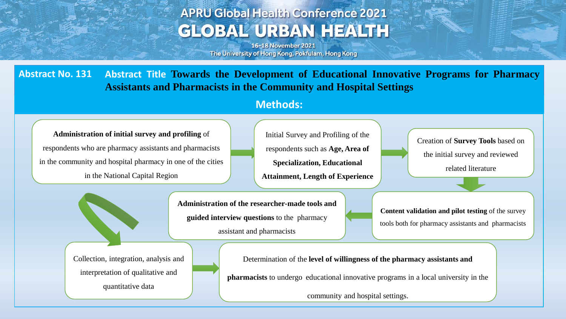# **APRU Global Health Conference 2021 GLOBAL URBAN HEALTH**

16-18 November 2021 The University of Hong Kong, Pokfulam, Hong Kong

**Abstract No. 131 Abstract Title Towards the Development of Educational Innovative Programs for Pharmacy Assistants and Pharmacists in the Community and Hospital Settings**

#### **Methods:**

**Administration of initial survey and profiling** of respondents who are pharmacy assistants and pharmacists in the community and hospital pharmacy in one of the cities in the National Capital Region

Initial Survey and Profiling of the respondents such as **Age, Area of Specialization, Educational Attainment, Length of Experience**

Creation of **Survey Tools** based on the initial survey and reviewed related literature

**Administration of the researcher-made tools and guided interview questions** to the pharmacy assistant and pharmacists

**Content validation and pilot testing** of the survey tools both for pharmacy assistants and pharmacists

Collection, integration, analysis and interpretation of qualitative and quantitative data

Determination of the **level of willingness of the pharmacy assistants and** 

**pharmacists** to undergo educational innovative programs in a local university in the

community and hospital settings.